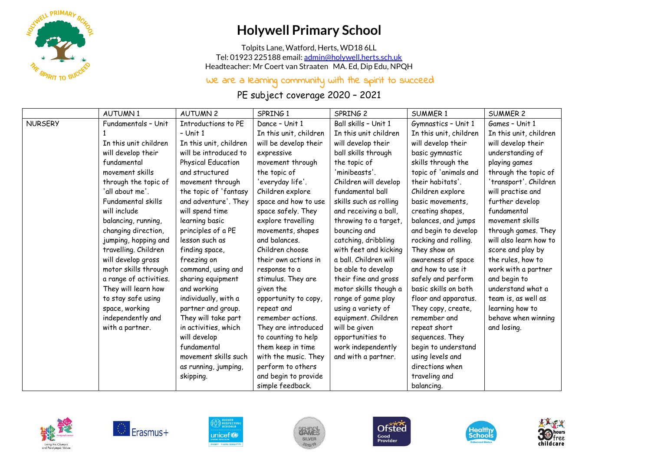

## **Holywell Primary School**

Tolpits Lane, Watford, Herts, WD18 6LL Tel: 01923 225188 email[: admin@holywell.herts.sch.uk](mailto:admin@holywell.herts.sch.uk) Headteacher: Mr Coert van Straaten MA. Ed, Dip Edu, NPQH

## We are a learning community with the spirit to succeed

PE subject coverage 2020 – 2021

|                | <b>AUTUMN1</b>         | <b>AUTUMN2</b>         | SPRING 1               | SPRING 2               | <b>SUMMER 1</b>        | <b>SUMMER 2</b>        |
|----------------|------------------------|------------------------|------------------------|------------------------|------------------------|------------------------|
| <b>NURSERY</b> | Fundamentals - Unit    | Introductions to PE    | Dance - Unit 1         | Ball skills - Unit 1   | Gymnastics - Unit 1    | Games - Unit 1         |
|                |                        | $-$ Unit 1             | In this unit, children | In this unit children  | In this unit, children | In this unit, children |
|                | In this unit children  | In this unit, children | will be develop their  | will develop their     | will develop their     | will develop their     |
|                | will develop their     | will be introduced to  | expressive             | ball skills through    | basic gymnastic        | understanding of       |
|                | fundamental            | Physical Education     | movement through       | the topic of           | skills through the     | playing games          |
|                | movement skills        | and structured         | the topic of           | 'minibeasts'.          | topic of 'animals and  | through the topic of   |
|                | through the topic of   | movement through       | 'everyday life'.       | Children will develop  | their habitats'.       | 'transport'. Children  |
|                | 'all about me'.        | the topic of 'fantasy  | Children explore       | fundamental ball       | Children explore       | will practise and      |
|                | Fundamental skills     | and adventure'. They   | space and how to use   | skills such as rolling | basic movements,       | further develop        |
|                | will include           | will spend time        | space safely. They     | and receiving a ball,  | creating shapes,       | fundamental            |
|                | balancing, running,    | learning basic         | explore travelling     | throwing to a target,  | balances, and jumps    | movement skills        |
|                | changing direction,    | principles of a PE     | movements, shapes      | bouncing and           | and begin to develop   | through games. They    |
|                | jumping, hopping and   | lesson such as         | and balances.          | catching, dribbling    | rocking and rolling.   | will also learn how to |
|                | travelling. Children   | finding space,         | Children choose        | with feet and kicking  | They show an           | score and play by      |
|                | will develop gross     | freezing on            | their own actions in   | a ball. Children will  | awareness of space     | the rules, how to      |
|                | motor skills through   | command, using and     | response to a          | be able to develop     | and how to use it      | work with a partner    |
|                | a range of activities. | sharing equipment      | stimulus. They are     | their fine and gross   | safely and perform     | and begin to           |
|                | They will learn how    | and working            | given the              | motor skills though a  | basic skills on both   | understand what a      |
|                | to stay safe using     | individually, with a   | opportunity to copy,   | range of game play     | floor and apparatus.   | team is, as well as    |
|                | space, working         | partner and group.     | repeat and             | using a variety of     | They copy, create,     | learning how to        |
|                | independently and      | They will take part    | remember actions.      | equipment. Children    | remember and           | behave when winning    |
|                | with a partner.        | in activities, which   | They are introduced    | will be given          | repeat short           | and losing.            |
|                |                        | will develop           | to counting to help    | opportunities to       | sequences. They        |                        |
|                |                        | fundamental            | them keep in time      | work independently     | begin to understand    |                        |
|                |                        | movement skills such   | with the music. They   | and with a partner.    | using levels and       |                        |
|                |                        | as running, jumping,   | perform to others      |                        | directions when        |                        |
|                |                        | skipping.              | and begin to provide   |                        | traveling and          |                        |
|                |                        |                        | simple feedback.       |                        | balancing.             |                        |













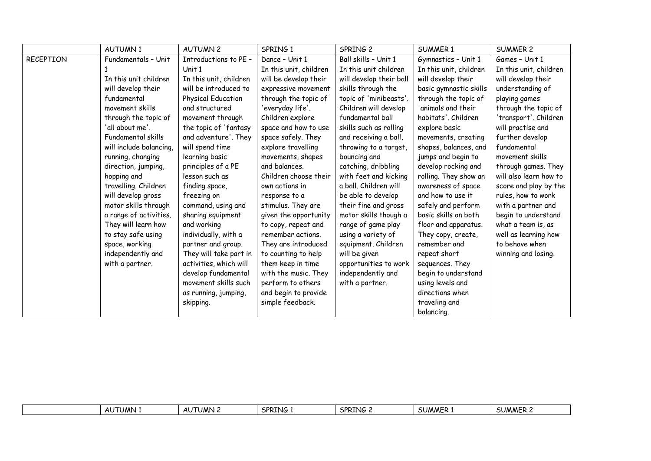|                  | <b>AUTUMN1</b>          | <b>AUTUMN 2</b>        | SPRING 1               | SPRING 2                | <b>SUMMER 1</b>        | <b>SUMMER 2</b>        |
|------------------|-------------------------|------------------------|------------------------|-------------------------|------------------------|------------------------|
| <b>RECEPTION</b> | Fundamentals - Unit     | Introductions to PE -  | Dance - Unit 1         | Ball skills - Unit 1    | Gymnastics - Unit 1    | Games - Unit 1         |
|                  |                         | Unit 1                 | In this unit, children | In this unit children   | In this unit, children | In this unit, children |
|                  | In this unit children   | In this unit, children | will be develop their  | will develop their ball | will develop their     | will develop their     |
|                  | will develop their      | will be introduced to  | expressive movement    | skills through the      | basic gymnastic skills | understanding of       |
|                  | fundamental             | Physical Education     | through the topic of   | topic of 'minibeasts'.  | through the topic of   | playing games          |
|                  | movement skills         | and structured         | 'everyday life'.       | Children will develop   | 'animals and their     | through the topic of   |
|                  | through the topic of    | movement through       | Children explore       | fundamental ball        | habitats', Children    | 'transport'. Children  |
|                  | 'all about me'.         | the topic of 'fantasy  | space and how to use   | skills such as rolling  | explore basic          | will practise and      |
|                  | Fundamental skills      | and adventure'. They   | space safely. They     | and receiving a ball,   | movements, creating    | further develop        |
|                  | will include balancing, | will spend time        | explore travelling     | throwing to a target,   | shapes, balances, and  | fundamental            |
|                  | running, changing       | learning basic         | movements, shapes      | bouncing and            | jumps and begin to     | movement skills        |
|                  | direction, jumping,     | principles of a PE     | and balances.          | catching, dribbling     | develop rocking and    | through games. They    |
|                  | hopping and             | lesson such as         | Children choose their  | with feet and kicking   | rolling. They show an  | will also learn how to |
|                  | travelling. Children    | finding space,         | own actions in         | a ball. Children will   | awareness of space     | score and play by the  |
|                  | will develop gross      | freezing on            | response to a          | be able to develop      | and how to use it      | rules, how to work     |
|                  | motor skills through    | command, using and     | stimulus. They are     | their fine and gross    | safely and perform     | with a partner and     |
|                  | a range of activities.  | sharing equipment      | given the opportunity  | motor skills though a   | basic skills on both   | begin to understand    |
|                  | They will learn how     | and working            | to copy, repeat and    | range of game play      | floor and apparatus.   | what a team is, as     |
|                  | to stay safe using      | individually, with a   | remember actions.      | using a variety of      | They copy, create,     | well as learning how   |
|                  | space, working          | partner and group.     | They are introduced    | equipment. Children     | remember and           | to behave when         |
|                  | independently and       | They will take part in | to counting to help    | will be given           | repeat short           | winning and losing.    |
|                  | with a partner.         | activities, which will | them keep in time      | opportunities to work   | sequences. They        |                        |
|                  |                         | develop fundamental    | with the music. They   | independently and       | begin to understand    |                        |
|                  |                         | movement skills such   | perform to others      | with a partner.         | using levels and       |                        |
|                  |                         | as running, jumping,   | and begin to provide   |                         | directions when        |                        |
|                  |                         | skipping.              | simple feedback.       |                         | traveling and          |                        |
|                  |                         |                        |                        |                         | balancing.             |                        |

| JMN<br><b>UMN</b><br>$\mathbf{A}$<br>Aι<br>nu | SPRTNG<br>vu. | <b>SPRTNG</b><br>. ש<br>. | SUMME. | SUMMER <sub>4</sub> |
|-----------------------------------------------|---------------|---------------------------|--------|---------------------|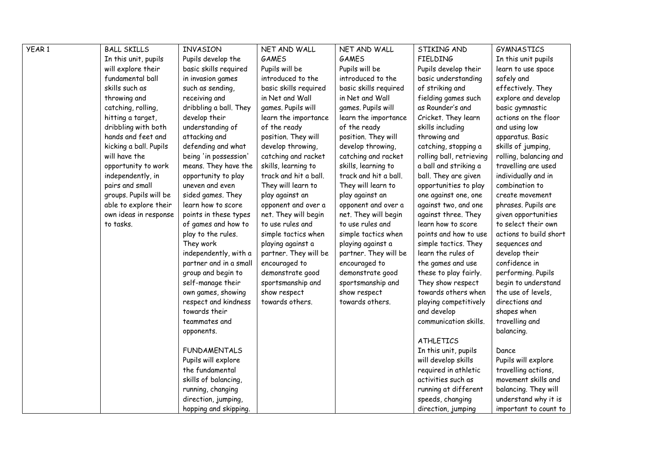| YEAR 1 | <b>BALL SKILLS</b>     | INVASION               | NET AND WALL          | NET AND WALL          | STIKING AND              | <b>GYMNASTICS</b>      |  |
|--------|------------------------|------------------------|-----------------------|-----------------------|--------------------------|------------------------|--|
|        | In this unit, pupils   | Pupils develop the     | <b>GAMES</b>          | <b>GAMES</b>          | <b>FIELDING</b>          | In this unit pupils    |  |
|        | will explore their     | basic skills required  | Pupils will be        | Pupils will be        | Pupils develop their     | learn to use space     |  |
|        | fundamental ball       | in invasion games      | introduced to the     | introduced to the     | basic understanding      | safely and             |  |
|        | skills such as         | such as sending,       | basic skills required | basic skills required | of striking and          | effectively. They      |  |
|        | throwing and           | receiving and          | in Net and Wall       | in Net and Wall       | fielding games such      | explore and develop    |  |
|        | catching, rolling,     | dribbling a ball. They | games. Pupils will    | games. Pupils will    | as Rounder's and         | basic gymnastic        |  |
|        | hitting a target,      | develop their          | learn the importance  | learn the importance  | Cricket. They learn      | actions on the floor   |  |
|        | dribbling with both    | understanding of       | of the ready          | of the ready          | skills including         | and using low          |  |
|        | hands and feet and     | attacking and          | position. They will   | position. They will   | throwing and             | apparatus. Basic       |  |
|        | kicking a ball. Pupils | defending and what     | develop throwing,     | develop throwing,     | catching, stopping a     | skills of jumping,     |  |
|        | will have the          | being 'in possession'  | catching and racket   | catching and racket   | rolling ball, retrieving | rolling, balancing and |  |
|        | opportunity to work    | means. They have the   | skills, learning to   | skills, learning to   | a ball and striking a    | travelling are used    |  |
|        | independently, in      | opportunity to play    | track and hit a ball. | track and hit a ball. | ball. They are given     | individually and in    |  |
|        | pairs and small        | uneven and even        | They will learn to    | They will learn to    | opportunities to play    | combination to         |  |
|        | groups. Pupils will be | sided games. They      | play against an       | play against an       | one against one, one     | create movement        |  |
|        | able to explore their  | learn how to score     | opponent and over a   | opponent and over a   | against two, and one     | phrases. Pupils are    |  |
|        | own ideas in response  | points in these types  | net. They will begin  | net. They will begin  | against three. They      | given opportunities    |  |
|        | to tasks.              | of games and how to    | to use rules and      | to use rules and      | learn how to score       | to select their own    |  |
|        |                        | play to the rules.     | simple tactics when   | simple tactics when   | points and how to use    | actions to build short |  |
|        |                        | They work              | playing against a     | playing against a     | simple tactics. They     | sequences and          |  |
|        |                        | independently, with a  | partner. They will be | partner. They will be | learn the rules of       | develop their          |  |
|        |                        | partner and in a small | encouraged to         | encouraged to         | the games and use        | confidence in          |  |
|        |                        | group and begin to     | demonstrate good      | demonstrate good      | these to play fairly.    | performing. Pupils     |  |
|        |                        | self-manage their      | sportsmanship and     | sportsmanship and     | They show respect        | begin to understand    |  |
|        |                        | own games, showing     | show respect          | show respect          | towards others when      | the use of levels,     |  |
|        |                        | respect and kindness   | towards others.       | towards others.       | playing competitively    | directions and         |  |
|        |                        | towards their          |                       |                       | and develop              | shapes when            |  |
|        |                        | teammates and          |                       |                       | communication skills.    | travelling and         |  |
|        |                        | opponents.             |                       |                       |                          | balancing.             |  |
|        |                        |                        |                       |                       | <b>ATHLETICS</b>         |                        |  |
|        |                        | <b>FUNDAMENTALS</b>    |                       |                       | In this unit, pupils     | Dance                  |  |
|        |                        | Pupils will explore    |                       |                       | will develop skills      | Pupils will explore    |  |
|        |                        | the fundamental        |                       |                       | required in athletic     | travelling actions,    |  |
|        |                        | skills of balancing,   |                       |                       | activities such as       | movement skills and    |  |
|        |                        | running, changing      |                       |                       | running at different     | balancing. They will   |  |
|        |                        | direction, jumping,    |                       |                       | speeds, changing         | understand why it is   |  |
|        |                        | hopping and skipping.  |                       |                       | direction, jumping       | important to count to  |  |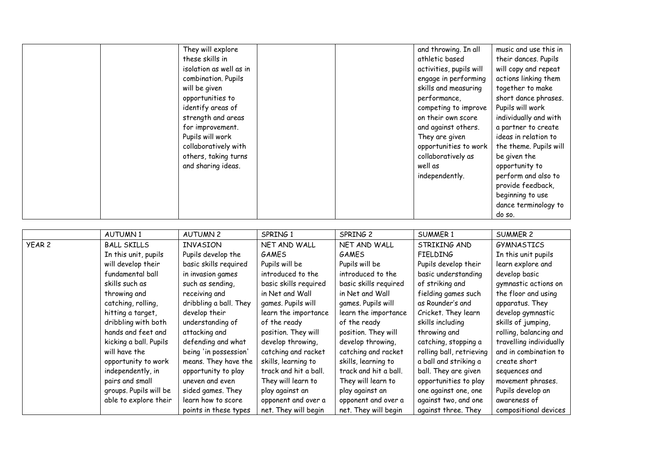| They will explore       |  | and throwing. In all    | music and use this in  |
|-------------------------|--|-------------------------|------------------------|
| these skills in         |  | athletic based          | their dances. Pupils   |
| isolation as well as in |  | activities, pupils will | will copy and repeat   |
| combination. Pupils     |  | engage in performing    | actions linking them   |
| will be given           |  | skills and measuring    | together to make       |
| opportunities to        |  | performance,            | short dance phrases.   |
| identify areas of       |  | competing to improve    | Pupils will work       |
| strength and areas      |  | on their own score      | individually and with  |
| for improvement.        |  | and against others.     | a partner to create    |
| Pupils will work        |  | They are given          | ideas in relation to   |
| collaboratively with    |  | opportunities to work   | the theme. Pupils will |
| others, taking turns    |  | collaboratively as      | be given the           |
| and sharing ideas.      |  | well as                 | opportunity to         |
|                         |  | independently.          | perform and also to    |
|                         |  |                         | provide feedback,      |
|                         |  |                         | beginning to use       |
|                         |  |                         | dance terminology to   |
|                         |  |                         | do so.                 |

|        | <b>AUTUMN1</b>         | <b>AUTUMN 2</b>        | SPRING 1              | SPRING 2              | <b>SUMMER 1</b>          | SUMMER 2                |
|--------|------------------------|------------------------|-----------------------|-----------------------|--------------------------|-------------------------|
| YEAR 2 | <b>BALL SKILLS</b>     | <b>INVASION</b>        | NET AND WALL          | NET AND WALL          | STRIKING AND             | GYMNASTICS              |
|        | In this unit, pupils   | Pupils develop the     | <b>GAMES</b>          | <b>GAMES</b>          | <b>FIELDING</b>          | In this unit pupils     |
|        | will develop their     | basic skills required  | Pupils will be        | Pupils will be        | Pupils develop their     | learn explore and       |
|        | fundamental ball       | in invasion games      | introduced to the     | introduced to the     | basic understanding      | develop basic           |
|        | skills such as         | such as sending,       | basic skills required | basic skills required | of striking and          | gymnastic actions on    |
|        | throwing and           | receiving and          | in Net and Wall       | in Net and Wall       | fielding games such      | the floor and using     |
|        | catching, rolling,     | dribbling a ball. They | games. Pupils will    | games. Pupils will    | as Rounder's and         | apparatus. They         |
|        | hitting a target,      | develop their          | learn the importance  | learn the importance  | Cricket. They learn      | develop gymnastic       |
|        | dribbling with both    | understanding of       | of the ready          | of the ready          | skills including         | skills of jumping,      |
|        | hands and feet and     | attacking and          | position. They will   | position. They will   | throwing and             | rolling, balancing and  |
|        | kicking a ball. Pupils | defending and what     | develop throwing,     | develop throwing,     | catching, stopping a     | travelling individually |
|        | will have the          | being 'in possession'  | catching and racket   | catching and racket   | rolling ball, retrieving | and in combination to   |
|        | opportunity to work    | means. They have the   | skills, learning to   | skills, learning to   | a ball and striking a    | create short            |
|        | independently, in      | opportunity to play    | track and hit a ball. | track and hit a ball. | ball. They are given     | sequences and           |
|        | pairs and small        | uneven and even        | They will learn to    | They will learn to    | opportunities to play    | movement phrases.       |
|        | groups. Pupils will be | sided games. They      | play against an       | play against an       | one against one, one     | Pupils develop an       |
|        | able to explore their  | learn how to score     | opponent and over a   | opponent and over a   | against two, and one     | awareness of            |
|        |                        | points in these types  | net. They will begin  | net. They will begin  | against three. They      | compositional devices   |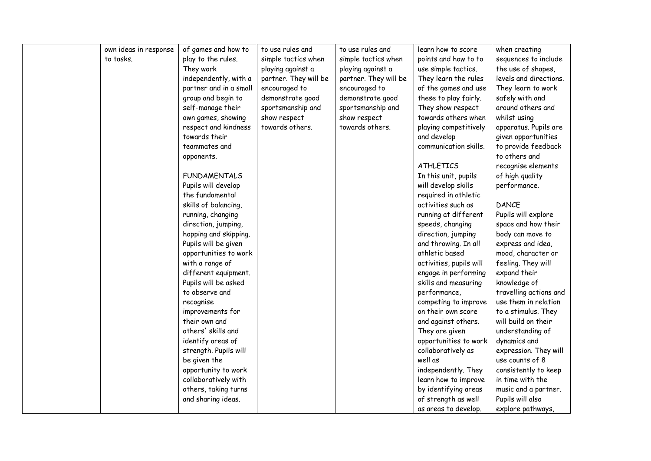| own ideas in response | of games and how to    | to use rules and      | to use rules and      | learn how to score      | when creating          |
|-----------------------|------------------------|-----------------------|-----------------------|-------------------------|------------------------|
| to tasks.             | play to the rules.     | simple tactics when   | simple tactics when   | points and how to to    | sequences to include   |
|                       | They work              | playing against a     | playing against a     | use simple tactics.     | the use of shapes,     |
|                       | independently, with a  | partner. They will be | partner. They will be | They learn the rules    | levels and directions. |
|                       | partner and in a small | encouraged to         | encouraged to         | of the games and use    | They learn to work     |
|                       | group and begin to     | demonstrate good      | demonstrate good      | these to play fairly.   | safely with and        |
|                       | self-manage their      | sportsmanship and     | sportsmanship and     | They show respect       | around others and      |
|                       | own games, showing     | show respect          | show respect          | towards others when     | whilst using           |
|                       | respect and kindness   | towards others.       | towards others.       | playing competitively   | apparatus. Pupils are  |
|                       | towards their          |                       |                       | and develop             | given opportunities    |
|                       | teammates and          |                       |                       | communication skills.   | to provide feedback    |
|                       | opponents.             |                       |                       |                         | to others and          |
|                       |                        |                       |                       | <b>ATHLETICS</b>        | recognise elements     |
|                       | <b>FUNDAMENTALS</b>    |                       |                       | In this unit, pupils    | of high quality        |
|                       | Pupils will develop    |                       |                       | will develop skills     | performance.           |
|                       | the fundamental        |                       |                       | required in athletic    |                        |
|                       | skills of balancing,   |                       |                       | activities such as      | <b>DANCE</b>           |
|                       | running, changing      |                       |                       | running at different    | Pupils will explore    |
|                       | direction, jumping,    |                       |                       | speeds, changing        | space and how their    |
|                       | hopping and skipping.  |                       |                       | direction, jumping      | body can move to       |
|                       | Pupils will be given   |                       |                       | and throwing. In all    | express and idea,      |
|                       | opportunities to work  |                       |                       | athletic based          | mood, character or     |
|                       | with a range of        |                       |                       | activities, pupils will | feeling. They will     |
|                       | different equipment.   |                       |                       | engage in performing    | expand their           |
|                       | Pupils will be asked   |                       |                       | skills and measuring    | knowledge of           |
|                       | to observe and         |                       |                       | performance,            | travelling actions and |
|                       | recognise              |                       |                       | competing to improve    | use them in relation   |
|                       | improvements for       |                       |                       | on their own score      | to a stimulus. They    |
|                       | their own and          |                       |                       | and against others.     | will build on their    |
|                       | others' skills and     |                       |                       | They are given          | understanding of       |
|                       | identify areas of      |                       |                       | opportunities to work   | dynamics and           |
|                       | strength. Pupils will  |                       |                       | collaboratively as      | expression. They will  |
|                       | be given the           |                       |                       | well as                 | use counts of 8        |
|                       | opportunity to work    |                       |                       | independently. They     | consistently to keep   |
|                       | collaboratively with   |                       |                       | learn how to improve    | in time with the       |
|                       | others, taking turns   |                       |                       | by identifying areas    | music and a partner.   |
|                       | and sharing ideas.     |                       |                       | of strength as well     | Pupils will also       |
|                       |                        |                       |                       | as areas to develop.    | explore pathways,      |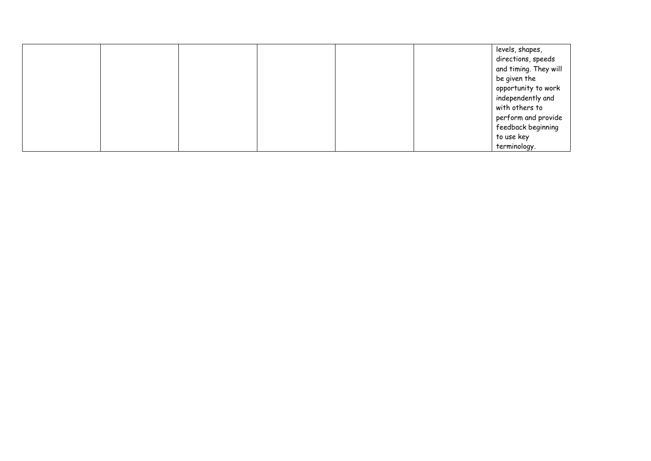|  |  |  | levels, shapes,       |
|--|--|--|-----------------------|
|  |  |  | directions, speeds    |
|  |  |  | and timing. They will |
|  |  |  | be given the          |
|  |  |  | opportunity to work   |
|  |  |  | independently and     |
|  |  |  | with others to        |
|  |  |  | perform and provide   |
|  |  |  | feedback beginning    |
|  |  |  | to use key            |
|  |  |  | terminology.          |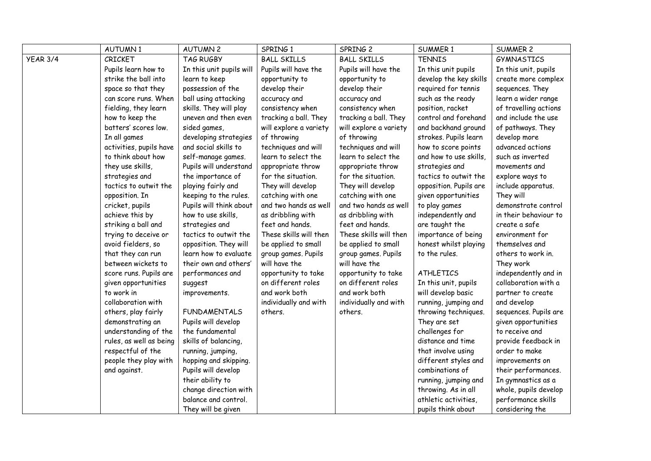|                 | <b>AUTUMN1</b>          | <b>AUTUMN 2</b>          | SPRING 1               | SPRING 2               | <b>SUMMER 1</b>        | <b>SUMMER 2</b>       |
|-----------------|-------------------------|--------------------------|------------------------|------------------------|------------------------|-----------------------|
| <b>YEAR 3/4</b> | CRICKET                 | TAG RUGBY                | <b>BALL SKILLS</b>     | <b>BALL SKILLS</b>     | <b>TENNIS</b>          | <b>GYMNASTICS</b>     |
|                 | Pupils learn how to     | In this unit pupils will | Pupils will have the   | Pupils will have the   | In this unit pupils    | In this unit, pupils  |
|                 | strike the ball into    | learn to keep            | opportunity to         | opportunity to         | develop the key skills | create more complex   |
|                 | space so that they      | possession of the        | develop their          | develop their          | required for tennis    | sequences. They       |
|                 | can score runs. When    | ball using attacking     | accuracy and           | accuracy and           | such as the ready      | learn a wider range   |
|                 | fielding, they learn    | skills. They will play   | consistency when       | consistency when       | position, racket       | of travelling actions |
|                 | how to keep the         | uneven and then even     | tracking a ball. They  | tracking a ball. They  | control and forehand   | and include the use   |
|                 | batters' scores low.    | sided games,             | will explore a variety | will explore a variety | and backhand ground    | of pathways. They     |
|                 | In all games            | developing strategies    | of throwing            | of throwing            | strokes. Pupils learn  | develop more          |
|                 | activities, pupils have | and social skills to     | techniques and will    | techniques and will    | how to score points    | advanced actions      |
|                 | to think about how      | self-manage games.       | learn to select the    | learn to select the    | and how to use skills, | such as inverted      |
|                 | they use skills,        | Pupils will understand   | appropriate throw      | appropriate throw      | strategies and         | movements and         |
|                 | strategies and          | the importance of        | for the situation.     | for the situation.     | tactics to outwit the  | explore ways to       |
|                 | tactics to outwit the   | playing fairly and       | They will develop      | They will develop      | opposition. Pupils are | include apparatus.    |
|                 | opposition. In          | keeping to the rules.    | catching with one      | catching with one      | given opportunities    | They will             |
|                 | cricket, pupils         | Pupils will think about  | and two hands as well  | and two hands as well  | to play games          | demonstrate control   |
|                 | achieve this by         | how to use skills,       | as dribbling with      | as dribbling with      | independently and      | in their behaviour to |
|                 | striking a ball and     | strategies and           | feet and hands.        | feet and hands.        | are taught the         | create a safe         |
|                 | trying to deceive or    | tactics to outwit the    | These skills will then | These skills will then | importance of being    | environment for       |
|                 | avoid fielders, so      | opposition. They will    | be applied to small    | be applied to small    | honest whilst playing  | themselves and        |
|                 | that they can run       | learn how to evaluate    | group games. Pupils    | group games. Pupils    | to the rules.          | others to work in.    |
|                 | between wickets to      | their own and others'    | will have the          | will have the          |                        | They work             |
|                 | score runs. Pupils are  | performances and         | opportunity to take    | opportunity to take    | <b>ATHLETICS</b>       | independently and in  |
|                 | given opportunities     | suggest                  | on different roles     | on different roles     | In this unit, pupils   | collaboration with a  |
|                 | to work in              | improvements.            | and work both          | and work both          | will develop basic     | partner to create     |
|                 | collaboration with      |                          | individually and with  | individually and with  | running, jumping and   | and develop           |
|                 | others, play fairly     | <b>FUNDAMENTALS</b>      | others.                | others.                | throwing techniques.   | sequences. Pupils are |
|                 | demonstrating an        | Pupils will develop      |                        |                        | They are set           | given opportunities   |
|                 | understanding of the    | the fundamental          |                        |                        | challenges for         | to receive and        |
|                 | rules, as well as being | skills of balancing,     |                        |                        | distance and time      | provide feedback in   |
|                 | respectful of the       | running, jumping,        |                        |                        | that involve using     | order to make         |
|                 | people they play with   | hopping and skipping.    |                        |                        | different styles and   | improvements on       |
|                 | and against.            | Pupils will develop      |                        |                        | combinations of        | their performances.   |
|                 |                         | their ability to         |                        |                        | running, jumping and   | In gymnastics as a    |
|                 |                         | change direction with    |                        |                        | throwing. As in all    | whole, pupils develop |
|                 |                         | balance and control.     |                        |                        | athletic activities,   | performance skills    |
|                 |                         | They will be given       |                        |                        | pupils think about     | considering the       |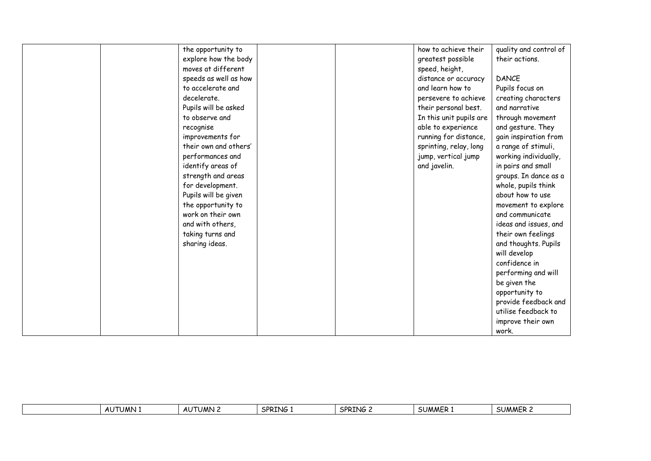|  | the opportunity to    |  | how to achieve their    | quality and control of |
|--|-----------------------|--|-------------------------|------------------------|
|  | explore how the body  |  | greatest possible       | their actions.         |
|  | moves at different    |  | speed, height,          |                        |
|  | speeds as well as how |  | distance or accuracy    | <b>DANCE</b>           |
|  | to accelerate and     |  | and learn how to        | Pupils focus on        |
|  | decelerate.           |  | persevere to achieve    | creating characters    |
|  | Pupils will be asked  |  | their personal best.    | and narrative          |
|  | to observe and        |  | In this unit pupils are | through movement       |
|  | recognise             |  | able to experience      | and gesture. They      |
|  | improvements for      |  | running for distance,   | gain inspiration from  |
|  | their own and others' |  | sprinting, relay, long  | a range of stimuli,    |
|  | performances and      |  | jump, vertical jump     | working individually,  |
|  | identify areas of     |  | and javelin.            | in pairs and small     |
|  | strength and areas    |  |                         | groups. In dance as a  |
|  | for development.      |  |                         | whole, pupils think    |
|  | Pupils will be given  |  |                         | about how to use       |
|  | the opportunity to    |  |                         | movement to explore    |
|  | work on their own     |  |                         | and communicate        |
|  | and with others,      |  |                         | ideas and issues, and  |
|  | taking turns and      |  |                         | their own feelings     |
|  | sharing ideas.        |  |                         | and thoughts. Pupils   |
|  |                       |  |                         | will develop           |
|  |                       |  |                         | confidence in          |
|  |                       |  |                         | performing and will    |
|  |                       |  |                         | be given the           |
|  |                       |  |                         | opportunity to         |
|  |                       |  |                         | provide feedback and   |
|  |                       |  |                         | utilise feedback to    |
|  |                       |  |                         | improve their own      |
|  |                       |  |                         | work.                  |

| .<br>ں - | UMN | ΔI<br>. JMN .<br>AU. | <b>SPRT</b><br>11 IZ | SPRT'<br>`ING | <b>SUMMER 1</b> | SUMMER |
|----------|-----|----------------------|----------------------|---------------|-----------------|--------|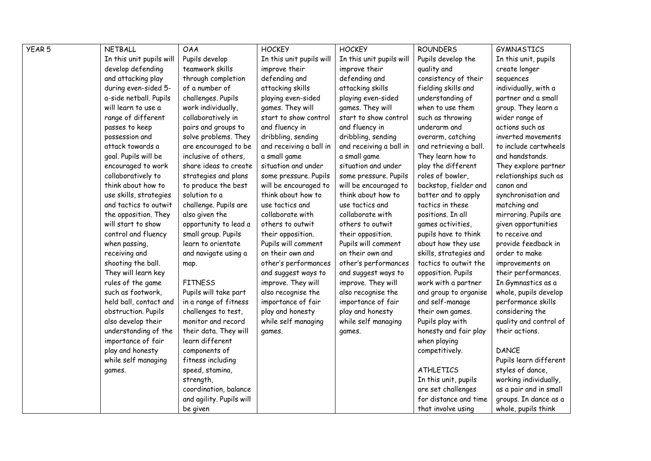| YEAR 5 | <b>NETBALL</b>           | <b>OAA</b>               | <b>HOCKEY</b>            | <b>HOCKEY</b>            | <b>ROUNDERS</b>        | <b>GYMNASTICS</b>      |
|--------|--------------------------|--------------------------|--------------------------|--------------------------|------------------------|------------------------|
|        | In this unit pupils will | Pupils develop           | In this unit pupils will | In this unit pupils will | Pupils develop the     | In this unit, pupils   |
|        | develop defending        | teamwork skills          | improve their            | improve their            | quality and            | create longer          |
|        | and attacking play       | through completion       | defending and            | defending and            | consistency of their   | sequences              |
|        | during even-sided 5-     | of a number of           | attacking skills         | attacking skills         | fielding skills and    | individually, with a   |
|        | a-side netball. Pupils   | challenges. Pupils       | playing even-sided       | playing even-sided       | understanding of       | partner and a small    |
|        | will learn to use a      | work individually,       | games. They will         | games. They will         | when to use them       | group. They learn a    |
|        | range of different       | collaboratively in       | start to show control    | start to show control    | such as throwing       | wider range of         |
|        | passes to keep           | pairs and groups to      | and fluency in           | and fluency in           | underarm and           | actions such as        |
|        | possession and           | solve problems. They     | dribbling, sending       | dribbling, sending       | overarm, catching      | inverted movements     |
|        | attack towards a         | are encouraged to be     | and receiving a ball in  | and receiving a ball in  | and retrieving a ball. | to include cartwheels  |
|        | goal. Pupils will be     | inclusive of others,     | a small game             | a small game             | They learn how to      | and handstands.        |
|        | encouraged to work       | share ideas to create    | situation and under      | situation and under      | play the different     | They explore partner   |
|        | collaboratively to       | strategies and plans     | some pressure. Pupils    | some pressure. Pupils    | roles of bowler,       | relationships such as  |
|        | think about how to       | to produce the best      | will be encouraged to    | will be encouraged to    | backstop, fielder and  | canon and              |
|        | use skills, strategies   | solution to a            | think about how to       | think about how to       | batter and to apply    | synchronisation and    |
|        | and tactics to outwit    | challenge. Pupils are    | use tactics and          | use tactics and          | tactics in these       | matching and           |
|        | the opposition. They     | also given the           | collaborate with         | collaborate with         | positions. In all      | mirroring. Pupils are  |
|        | will start to show       | opportunity to lead a    | others to outwit         | others to outwit         | games activities,      | given opportunities    |
|        | control and fluency      | small group. Pupils      | their opposition.        | their opposition.        | pupils have to think   | to receive and         |
|        | when passing,            | learn to orientate       | Pupils will comment      | Pupils will comment      | about how they use     | provide feedback in    |
|        | receiving and            | and navigate using a     | on their own and         | on their own and         | skills, strategies and | order to make          |
|        | shooting the ball.       | map.                     | other's performances     | other's performances     | tactics to outwit the  | improvements on        |
|        | They will learn key      |                          | and suggest ways to      | and suggest ways to      | opposition. Pupils     | their performances.    |
|        | rules of the game        | <b>FITNESS</b>           | improve. They will       | improve. They will       | work with a partner    | In Gymnastics as a     |
|        | such as footwork,        | Pupils will take part    | also recognise the       | also recognise the       | and group to organise  | whole, pupils develop  |
|        | held ball, contact and   | in a range of fitness    | importance of fair       | importance of fair       | and self-manage        | performance skills     |
|        | obstruction. Pupils      | challenges to test,      | play and honesty         | play and honesty         | their own games.       | considering the        |
|        | also develop their       | monitor and record       | while self managing      | while self managing      | Pupils play with       | quality and control of |
|        | understanding of the     | their data. They will    | games.                   | games.                   | honesty and fair play  | their actions.         |
|        | importance of fair       | learn different          |                          |                          | when playing           |                        |
|        | play and honesty         | components of            |                          |                          | competitively.         | <b>DANCE</b>           |
|        | while self managing      | fitness including        |                          |                          |                        | Pupils learn different |
|        | games.                   | speed, stamina,          |                          |                          | <b>ATHLETICS</b>       | styles of dance,       |
|        |                          | strength,                |                          |                          | In this unit, pupils   | working individually,  |
|        |                          | coordination, balance    |                          |                          | are set challenges     | as a pair and in small |
|        |                          | and agility. Pupils will |                          |                          | for distance and time  | groups. In dance as a  |
|        |                          | be given                 |                          |                          | that involve using     | whole, pupils think    |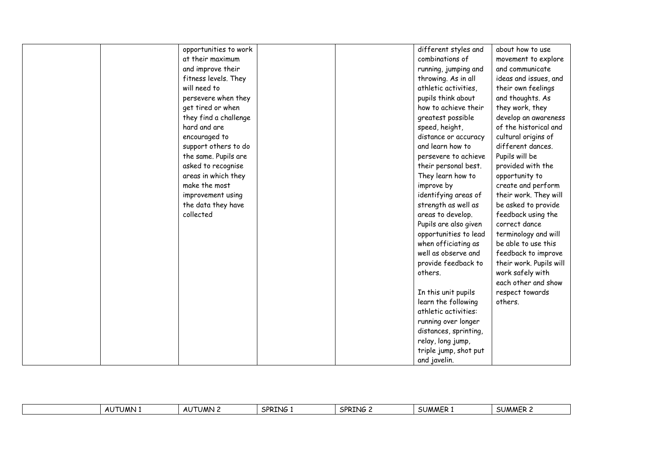|               | opportunities to work |  | different styles and  | about how to use        |
|---------------|-----------------------|--|-----------------------|-------------------------|
|               | at their maximum      |  | combinations of       | movement to explore     |
|               | and improve their     |  | running, jumping and  | and communicate         |
|               | fitness levels. They  |  | throwing. As in all   | ideas and issues, and   |
| will need to  |                       |  | athletic activities,  | their own feelings      |
|               | persevere when they   |  | pupils think about    | and thoughts. As        |
|               | get tired or when     |  | how to achieve their  | they work, they         |
|               | they find a challenge |  | greatest possible     | develop an awareness    |
| hard and are  |                       |  | speed, height,        | of the historical and   |
| encouraged to |                       |  | distance or accuracy  | cultural origins of     |
|               | support others to do  |  | and learn how to      | different dances.       |
|               | the same. Pupils are  |  | persevere to achieve  | Pupils will be          |
|               | asked to recognise    |  | their personal best.  | provided with the       |
|               | areas in which they   |  | They learn how to     | opportunity to          |
| make the most |                       |  | improve by            | create and perform      |
|               | improvement using     |  | identifying areas of  | their work. They will   |
|               | the data they have    |  | strength as well as   | be asked to provide     |
| collected     |                       |  | areas to develop.     | feedback using the      |
|               |                       |  | Pupils are also given | correct dance           |
|               |                       |  | opportunities to lead | terminology and will    |
|               |                       |  | when officiating as   | be able to use this     |
|               |                       |  | well as observe and   | feedback to improve     |
|               |                       |  | provide feedback to   | their work. Pupils will |
|               |                       |  | others.               | work safely with        |
|               |                       |  |                       | each other and show     |
|               |                       |  | In this unit pupils   | respect towards         |
|               |                       |  | learn the following   | others.                 |
|               |                       |  | athletic activities:  |                         |
|               |                       |  | running over longer   |                         |
|               |                       |  | distances, sprinting, |                         |
|               |                       |  | relay, long jump,     |                         |
|               |                       |  | triple jump, shot put |                         |
|               |                       |  | and javelin.          |                         |

| SPR1<br>$\sim$<br>chn"<br><b>;UMMER</b><br>JMN.<br><b>AII</b><br>– SUMML<br><br><b>AI</b><br>NG.<br>$\cdot$ Nig.<br>. JMN :<br>nı.<br>nc<br>. VU<br>$\sim$ |  |
|------------------------------------------------------------------------------------------------------------------------------------------------------------|--|
|------------------------------------------------------------------------------------------------------------------------------------------------------------|--|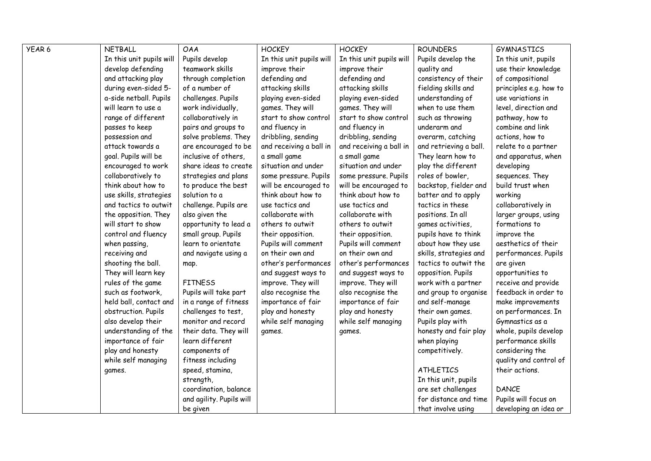| YEAR 6 | <b>NETBALL</b>           | <b>OAA</b>               | <b>HOCKEY</b>            | <b>HOCKEY</b>            | <b>ROUNDERS</b>        | <b>GYMNASTICS</b>      |
|--------|--------------------------|--------------------------|--------------------------|--------------------------|------------------------|------------------------|
|        | In this unit pupils will | Pupils develop           | In this unit pupils will | In this unit pupils will | Pupils develop the     | In this unit, pupils   |
|        | develop defending        | teamwork skills          | improve their            | improve their            | quality and            | use their knowledge    |
|        | and attacking play       | through completion       | defending and            | defending and            | consistency of their   | of compositional       |
|        | during even-sided 5-     | of a number of           | attacking skills         | attacking skills         | fielding skills and    | principles e.g. how to |
|        | a-side netball. Pupils   | challenges. Pupils       | playing even-sided       | playing even-sided       | understanding of       | use variations in      |
|        | will learn to use a      | work individually,       | games. They will         | games. They will         | when to use them       | level, direction and   |
|        | range of different       | collaboratively in       | start to show control    | start to show control    | such as throwing       | pathway, how to        |
|        | passes to keep           | pairs and groups to      | and fluency in           | and fluency in           | underarm and           | combine and link       |
|        | possession and           | solve problems. They     | dribbling, sending       | dribbling, sending       | overarm, catching      | actions, how to        |
|        | attack towards a         | are encouraged to be     | and receiving a ball in  | and receiving a ball in  | and retrieving a ball. | relate to a partner    |
|        | goal. Pupils will be     | inclusive of others,     | a small game             | a small game             | They learn how to      | and apparatus, when    |
|        | encouraged to work       | share ideas to create    | situation and under      | situation and under      | play the different     | developing             |
|        | collaboratively to       | strategies and plans     | some pressure. Pupils    | some pressure. Pupils    | roles of bowler,       | sequences. They        |
|        | think about how to       | to produce the best      | will be encouraged to    | will be encouraged to    | backstop, fielder and  | build trust when       |
|        | use skills, strategies   | solution to a            | think about how to       | think about how to       | batter and to apply    | working                |
|        | and tactics to outwit    | challenge. Pupils are    | use tactics and          | use tactics and          | tactics in these       | collaboratively in     |
|        | the opposition. They     | also given the           | collaborate with         | collaborate with         | positions. In all      | larger groups, using   |
|        | will start to show       | opportunity to lead a    | others to outwit         | others to outwit         | games activities,      | formations to          |
|        | control and fluency      | small group. Pupils      | their opposition.        | their opposition.        | pupils have to think   | improve the            |
|        | when passing,            | learn to orientate       | Pupils will comment      | Pupils will comment      | about how they use     | aesthetics of their    |
|        | receiving and            | and navigate using a     | on their own and         | on their own and         | skills, strategies and | performances. Pupils   |
|        | shooting the ball.       | map.                     | other's performances     | other's performances     | tactics to outwit the  | are given              |
|        | They will learn key      |                          | and suggest ways to      | and suggest ways to      | opposition. Pupils     | opportunities to       |
|        | rules of the game        | <b>FITNESS</b>           | improve. They will       | improve. They will       | work with a partner    | receive and provide    |
|        | such as footwork,        | Pupils will take part    | also recognise the       | also recognise the       | and group to organise  | feedback in order to   |
|        | held ball, contact and   | in a range of fitness    | importance of fair       | importance of fair       | and self-manage        | make improvements      |
|        | obstruction. Pupils      | challenges to test,      | play and honesty         | play and honesty         | their own games.       | on performances. In    |
|        | also develop their       | monitor and record       | while self managing      | while self managing      | Pupils play with       | Gymnastics as a        |
|        | understanding of the     | their data. They will    | games.                   | games.                   | honesty and fair play  | whole, pupils develop  |
|        | importance of fair       | learn different          |                          |                          | when playing           | performance skills     |
|        | play and honesty         | components of            |                          |                          | competitively.         | considering the        |
|        | while self managing      | fitness including        |                          |                          |                        | quality and control of |
|        | games.                   | speed, stamina,          |                          |                          | <b>ATHLETICS</b>       | their actions.         |
|        |                          | strength,                |                          |                          | In this unit, pupils   |                        |
|        |                          | coordination, balance    |                          |                          | are set challenges     | <b>DANCE</b>           |
|        |                          | and agility. Pupils will |                          |                          | for distance and time  | Pupils will focus on   |
|        |                          | be given                 |                          |                          | that involve using     | developing an idea or  |